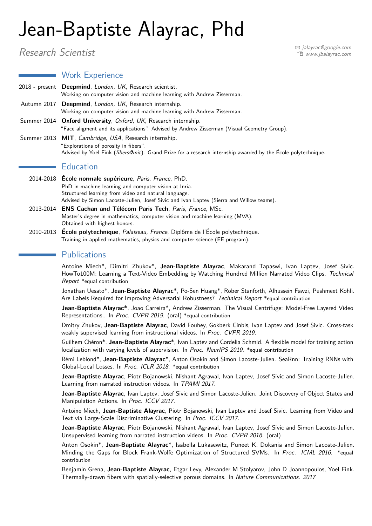# Jean-Baptiste Alayrac, Phd

**Work Experience** 

Research Scientist and the set of the set of the set of the set of the set of the set of the set of the set of the set of the set of the set of the set of the set of the set of the set of the set of the set of the set of t Í [www.jbalayrac.com](http://www.jbalayrac.com)

2018 - present **Deepmind**, London, UK, Research scientist. Working on computer vision and machine learning with Andrew Zisserman. Autumn 2017 **Deepmind**, London, UK, Research internship. Working on computer vision and machine learning with Andrew Zisserman. Summer 2014 **Oxford University**, Oxford, UK, Research internship. "Face aligment and its applications". Advised by Andrew Zisserman (Visual Geometry Group). Summer 2013 **MIT**, Cambridge, USA, Research internship. "Explorations of porosity in fibers". Advised by Yoel Fink (fibers@mit). Grand Prize for a research internship awarded by the École polytechnique.

#### $\blacksquare$  Education

- 2014-2018 **École normale supérieure**, Paris, France, PhD. PhD in machine learning and computer vision at Inria. Structured learning from video and natural language. Advised by Simon Lacoste-Julien, Josef Sivic and Ivan Laptev (Sierra and Willow teams).
- 2013-2014 **ENS Cachan and Télécom Paris Tech**, Paris, France, MSc. Master's degree in mathematics, computer vision and machine learning (MVA). Obtained with highest honors.
- 2010-2013 **École polytechnique**, Palaiseau, France, Diplôme de l'École polytechnique. Training in applied mathematics, physics and computer science (EE program).

## **Publications**

Antoine Miech\*, Dimitri Zhukov\*, **Jean-Baptiste Alayrac**, Makarand Tapaswi, Ivan Laptev, Josef Sivic. HowTo100M: Learning a Text-Video Embedding by Watching Hundred Million Narrated Video Clips. Technical Report \*equal contribution

Jonathan Uesato\*, **Jean-Baptiste Alayrac\***, Po-Sen Huang\*, Rober Stanforth, Alhussein Fawzi, Pushmeet Kohli. Are Labels Required for Improving Adversarial Robustness? Technical Report \*equal contribution

**Jean-Baptiste Alayrac\***, Joao Carreira\*, Andrew Zisserman. The Visual Centrifuge: Model-Free Layered Video Representations.. In Proc. CVPR 2019. (oral) \*equal contribution

Dmitry Zhukov, **Jean-Baptiste Alayrac**, David Fouhey, Gokberk Cinbis, Ivan Laptev and Josef Sivic. Cross-task weakly supervised learning from instructional videos. In Proc. CVPR 2019.

Guilhem Chéron\*, **Jean-Baptiste Alayrac**\*, Ivan Laptev and Cordelia Schmid. A flexible model for training action localization with varying levels of supervision. In Proc. NeurlPS 2019. \* equal contribution

Rémi Leblond\*, **Jean-Baptiste Alayrac**\*, Anton Osokin and Simon Lacoste-Julien. SeaRnn: Training RNNs with Global-Local Losses. In Proc. ICLR 2018. \*equal contribution

**Jean-Baptiste Alayrac**, Piotr Bojanowski, Nishant Agrawal, Ivan Laptev, Josef Sivic and Simon Lacoste-Julien. Learning from narrated instruction videos. In TPAMI 2017.

**Jean-Baptiste Alayrac**, Ivan Laptev, Josef Sivic and Simon Lacoste-Julien. Joint Discovery of Object States and Manipulation Actions. In Proc. ICCV 2017.

Antoine Miech, **Jean-Baptiste Alayrac**, Piotr Bojanowski, Ivan Laptev and Josef Sivic. Learning from Video and Text via Large-Scale Discriminative Clustering. In Proc. ICCV 2017.

**Jean-Baptiste Alayrac**, Piotr Bojanowski, Nishant Agrawal, Ivan Laptev, Josef Sivic and Simon Lacoste-Julien. Unsupervised learning from narrated instruction videos. In Proc. CVPR 2016. (oral)

Anton Osokin\*, **Jean-Baptiste Alayrac**\*, Isabella Lukasewitz, Puneet K. Dokania and Simon Lacoste-Julien. Minding the Gaps for Block Frank-Wolfe Optimization of Structured SVMs. In Proc. ICML 2016. \*equal contribution

Benjamin Grena, **Jean-Baptiste Alayrac**, Etgar Levy, Alexander M Stolyarov, John D Joannopoulos, Yoel Fink. Thermally-drawn fibers with spatially-selective porous domains. In Nature Communications. 2017